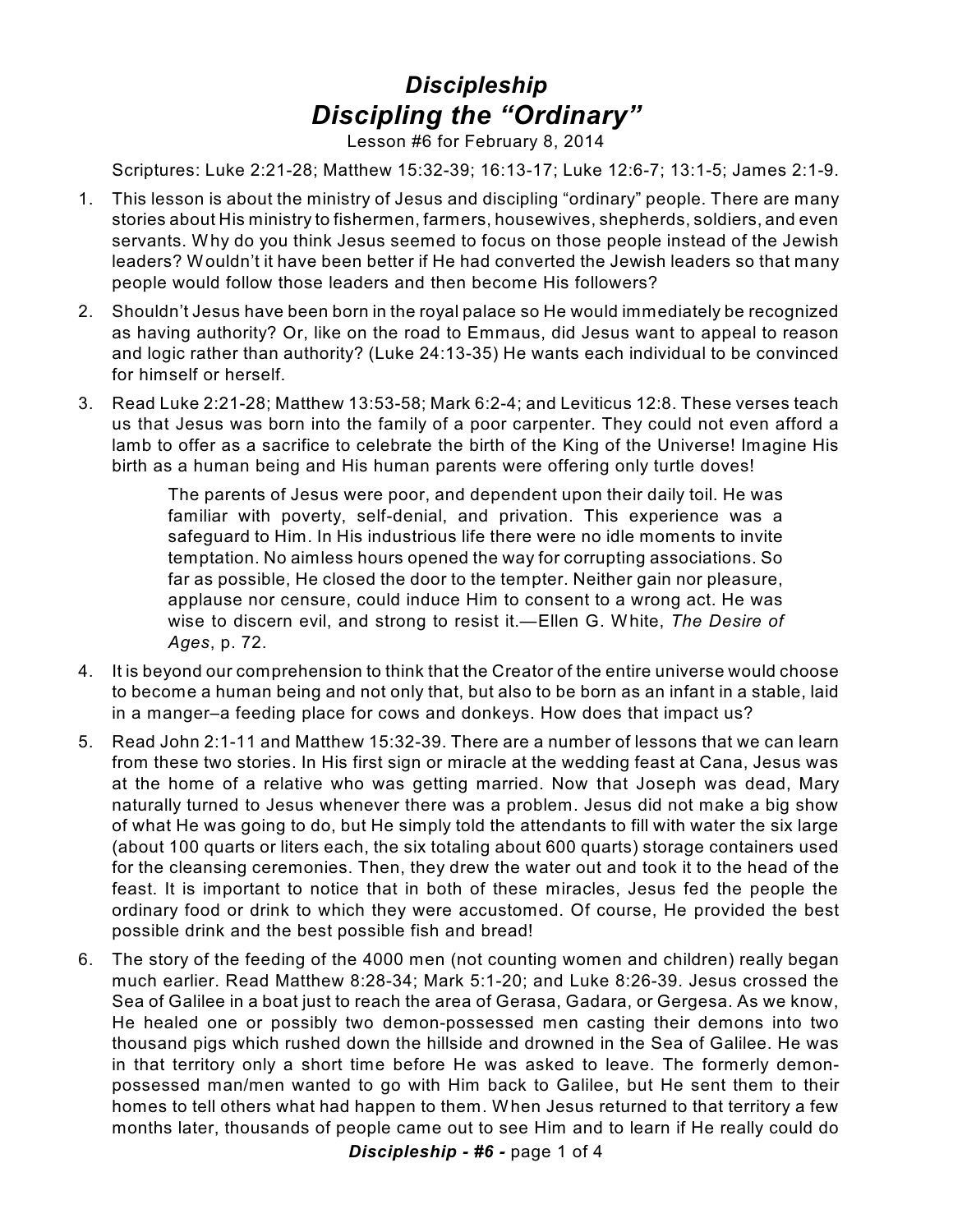## *Discipleship Discipling the "Ordinary"*

Lesson #6 for February 8, 2014

Scriptures: Luke 2:21-28; Matthew 15:32-39; 16:13-17; Luke 12:6-7; 13:1-5; James 2:1-9.

- 1. This lesson is about the ministry of Jesus and discipling "ordinary" people. There are many stories about His ministry to fishermen, farmers, housewives, shepherds, soldiers, and even servants. Why do you think Jesus seemed to focus on those people instead of the Jewish leaders? Wouldn't it have been better if He had converted the Jewish leaders so that many people would follow those leaders and then become His followers?
- 2. Shouldn't Jesus have been born in the royal palace so He would immediately be recognized as having authority? Or, like on the road to Emmaus, did Jesus want to appeal to reason and logic rather than authority? (Luke 24:13-35) He wants each individual to be convinced for himself or herself.
- 3. Read Luke 2:21-28; Matthew 13:53-58; Mark 6:2-4; and Leviticus 12:8. These verses teach us that Jesus was born into the family of a poor carpenter. They could not even afford a lamb to offer as a sacrifice to celebrate the birth of the King of the Universe! Imagine His birth as a human being and His human parents were offering only turtle doves!

The parents of Jesus were poor, and dependent upon their daily toil. He was familiar with poverty, self-denial, and privation. This experience was a safeguard to Him. In His industrious life there were no idle moments to invite temptation. No aimless hours opened the way for corrupting associations. So far as possible, He closed the door to the tempter. Neither gain nor pleasure, applause nor censure, could induce Him to consent to a wrong act. He was wise to discern evil, and strong to resist it.—Ellen G. White, *The Desire of Ages*, p. 72.

- 4. It is beyond our comprehension to think that the Creator of the entire universe would choose to become a human being and not only that, but also to be born as an infant in a stable, laid in a manger–a feeding place for cows and donkeys. How does that impact us?
- 5. Read John 2:1-11 and Matthew 15:32-39. There are a number of lessons that we can learn from these two stories. In His first sign or miracle at the wedding feast at Cana, Jesus was at the home of a relative who was getting married. Now that Joseph was dead, Mary naturally turned to Jesus whenever there was a problem. Jesus did not make a big show of what He was going to do, but He simply told the attendants to fill with water the six large (about 100 quarts or liters each, the six totaling about 600 quarts) storage containers used for the cleansing ceremonies. Then, they drew the water out and took it to the head of the feast. It is important to notice that in both of these miracles, Jesus fed the people the ordinary food or drink to which they were accustomed. Of course, He provided the best possible drink and the best possible fish and bread!
- 6. The story of the feeding of the 4000 men (not counting women and children) really began much earlier. Read Matthew 8:28-34; Mark 5:1-20; and Luke 8:26-39. Jesus crossed the Sea of Galilee in a boat just to reach the area of Gerasa, Gadara, or Gergesa. As we know, He healed one or possibly two demon-possessed men casting their demons into two thousand pigs which rushed down the hillside and drowned in the Sea of Galilee. He was in that territory only a short time before He was asked to leave. The formerly demonpossessed man/men wanted to go with Him back to Galilee, but He sent them to their homes to tell others what had happen to them. When Jesus returned to that territory a few months later, thousands of people came out to see Him and to learn if He really could do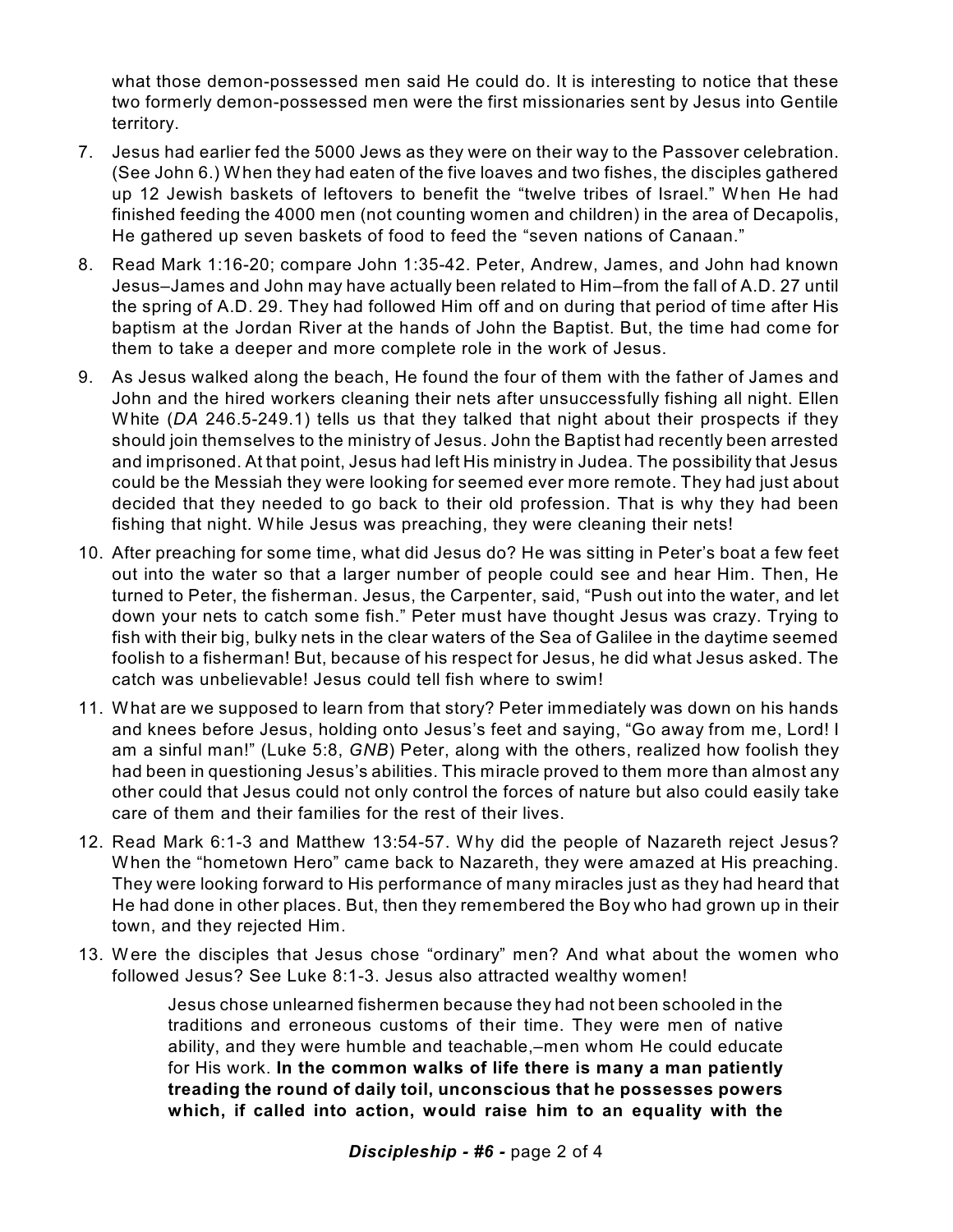what those demon-possessed men said He could do. It is interesting to notice that these two formerly demon-possessed men were the first missionaries sent by Jesus into Gentile territory.

- 7. Jesus had earlier fed the 5000 Jews as they were on their way to the Passover celebration. (See John 6.) When they had eaten of the five loaves and two fishes, the disciples gathered up 12 Jewish baskets of leftovers to benefit the "twelve tribes of Israel." When He had finished feeding the 4000 men (not counting women and children) in the area of Decapolis, He gathered up seven baskets of food to feed the "seven nations of Canaan."
- 8. Read Mark 1:16-20; compare John 1:35-42. Peter, Andrew, James, and John had known Jesus–James and John may have actually been related to Him–from the fall of A.D. 27 until the spring of A.D. 29. They had followed Him off and on during that period of time after His baptism at the Jordan River at the hands of John the Baptist. But, the time had come for them to take a deeper and more complete role in the work of Jesus.
- 9. As Jesus walked along the beach, He found the four of them with the father of James and John and the hired workers cleaning their nets after unsuccessfully fishing all night. Ellen White (*DA* 246.5-249.1) tells us that they talked that night about their prospects if they should join themselves to the ministry of Jesus. John the Baptist had recently been arrested and imprisoned. At that point, Jesus had left His ministry in Judea. The possibility that Jesus could be the Messiah they were looking for seemed ever more remote. They had just about decided that they needed to go back to their old profession. That is why they had been fishing that night. While Jesus was preaching, they were cleaning their nets!
- 10. After preaching for some time, what did Jesus do? He was sitting in Peter's boat a few feet out into the water so that a larger number of people could see and hear Him. Then, He turned to Peter, the fisherman. Jesus, the Carpenter, said, "Push out into the water, and let down your nets to catch some fish." Peter must have thought Jesus was crazy. Trying to fish with their big, bulky nets in the clear waters of the Sea of Galilee in the daytime seemed foolish to a fisherman! But, because of his respect for Jesus, he did what Jesus asked. The catch was unbelievable! Jesus could tell fish where to swim!
- 11. What are we supposed to learn from that story? Peter immediately was down on his hands and knees before Jesus, holding onto Jesus's feet and saying, "Go away from me, Lord! I am a sinful man!" (Luke 5:8, *GNB*) Peter, along with the others, realized how foolish they had been in questioning Jesus's abilities. This miracle proved to them more than almost any other could that Jesus could not only control the forces of nature but also could easily take care of them and their families for the rest of their lives.
- 12. Read Mark 6:1-3 and Matthew 13:54-57. Why did the people of Nazareth reject Jesus? When the "hometown Hero" came back to Nazareth, they were amazed at His preaching. They were looking forward to His performance of many miracles just as they had heard that He had done in other places. But, then they remembered the Boy who had grown up in their town, and they rejected Him.
- 13. Were the disciples that Jesus chose "ordinary" men? And what about the women who followed Jesus? See Luke 8:1-3. Jesus also attracted wealthy women!

Jesus chose unlearned fishermen because they had not been schooled in the traditions and erroneous customs of their time. They were men of native ability, and they were humble and teachable,–men whom He could educate for His work. **In the common walks of life there is many a man patiently treading the round of daily toil, unconscious that he possesses powers which, if called into action, would raise him to an equality with the**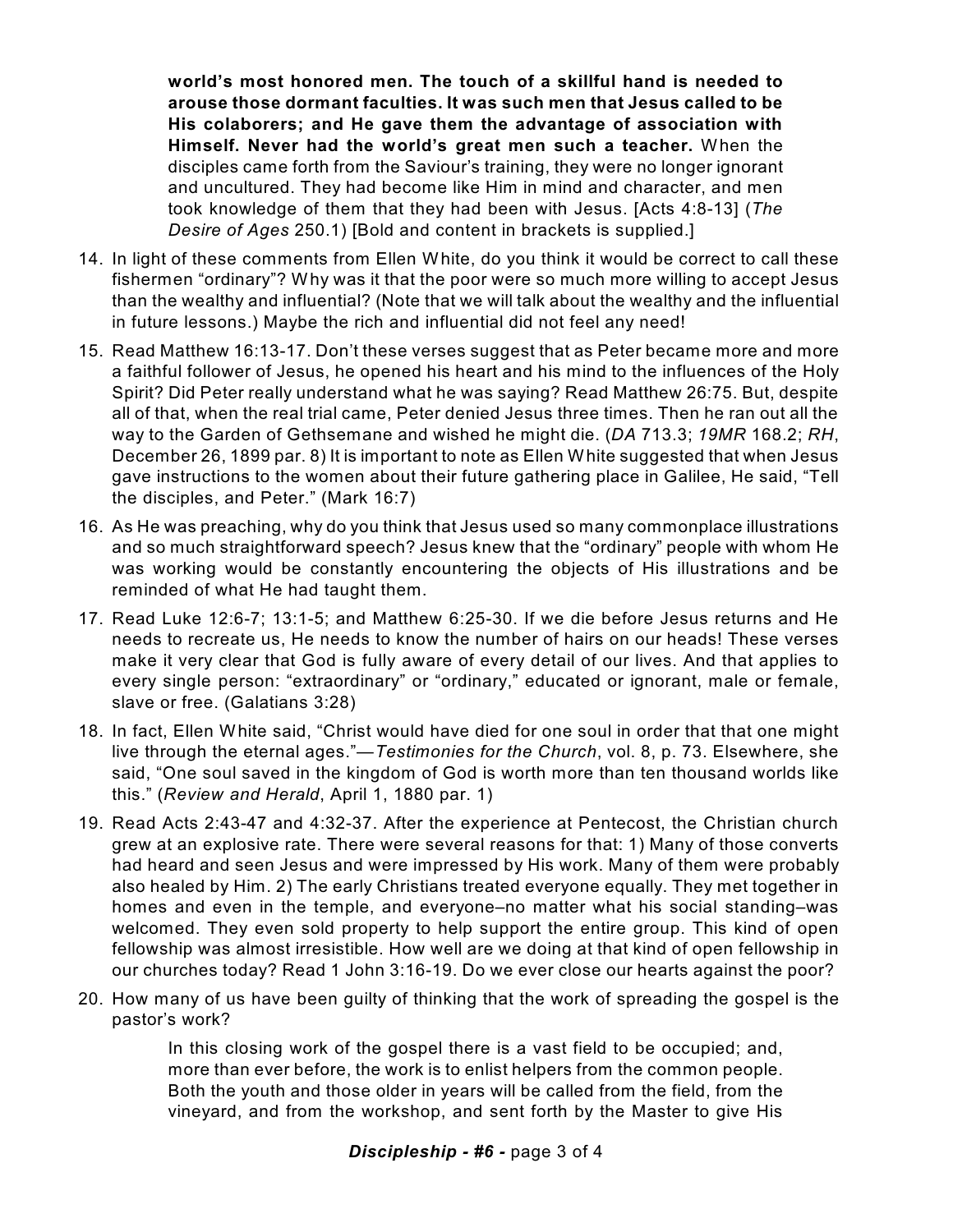**world's most honored men. The touch of a skillful hand is needed to arouse those dormant faculties. It was such men that Jesus called to be His colaborers; and He gave them the advantage of association with Himself. Never had the world's great men such a teacher.** When the disciples came forth from the Saviour's training, they were no longer ignorant and uncultured. They had become like Him in mind and character, and men took knowledge of them that they had been with Jesus. [Acts 4:8-13] (*The Desire of Ages* 250.1) [Bold and content in brackets is supplied.]

- 14. In light of these comments from Ellen White, do you think it would be correct to call these fishermen "ordinary"? Why was it that the poor were so much more willing to accept Jesus than the wealthy and influential? (Note that we will talk about the wealthy and the influential in future lessons.) Maybe the rich and influential did not feel any need!
- 15. Read Matthew 16:13-17. Don't these verses suggest that as Peter became more and more a faithful follower of Jesus, he opened his heart and his mind to the influences of the Holy Spirit? Did Peter really understand what he was saying? Read Matthew 26:75. But, despite all of that, when the real trial came, Peter denied Jesus three times. Then he ran out all the way to the Garden of Gethsemane and wished he might die. (*DA* 713.3; *19MR* 168.2; *RH*, December 26, 1899 par. 8) It is important to note as Ellen White suggested that when Jesus gave instructions to the women about their future gathering place in Galilee, He said, "Tell the disciples, and Peter." (Mark 16:7)
- 16. As He was preaching, why do you think that Jesus used so many commonplace illustrations and so much straightforward speech? Jesus knew that the "ordinary" people with whom He was working would be constantly encountering the objects of His illustrations and be reminded of what He had taught them.
- 17. Read Luke 12:6-7; 13:1-5; and Matthew 6:25-30. If we die before Jesus returns and He needs to recreate us, He needs to know the number of hairs on our heads! These verses make it very clear that God is fully aware of every detail of our lives. And that applies to every single person: "extraordinary" or "ordinary," educated or ignorant, male or female, slave or free. (Galatians 3:28)
- 18. In fact, Ellen White said, "Christ would have died for one soul in order that that one might live through the eternal ages."—*Testimonies for the Church*, vol. 8, p. 73. Elsewhere, she said, "One soul saved in the kingdom of God is worth more than ten thousand worlds like this." (*Review and Herald*, April 1, 1880 par. 1)
- 19. Read Acts 2:43-47 and 4:32-37. After the experience at Pentecost, the Christian church grew at an explosive rate. There were several reasons for that: 1) Many of those converts had heard and seen Jesus and were impressed by His work. Many of them were probably also healed by Him. 2) The early Christians treated everyone equally. They met together in homes and even in the temple, and everyone–no matter what his social standing–was welcomed. They even sold property to help support the entire group. This kind of open fellowship was almost irresistible. How well are we doing at that kind of open fellowship in our churches today? Read 1 John 3:16-19. Do we ever close our hearts against the poor?
- 20. How many of us have been guilty of thinking that the work of spreading the gospel is the pastor's work?

In this closing work of the gospel there is a vast field to be occupied; and, more than ever before, the work is to enlist helpers from the common people. Both the youth and those older in years will be called from the field, from the vineyard, and from the workshop, and sent forth by the Master to give His